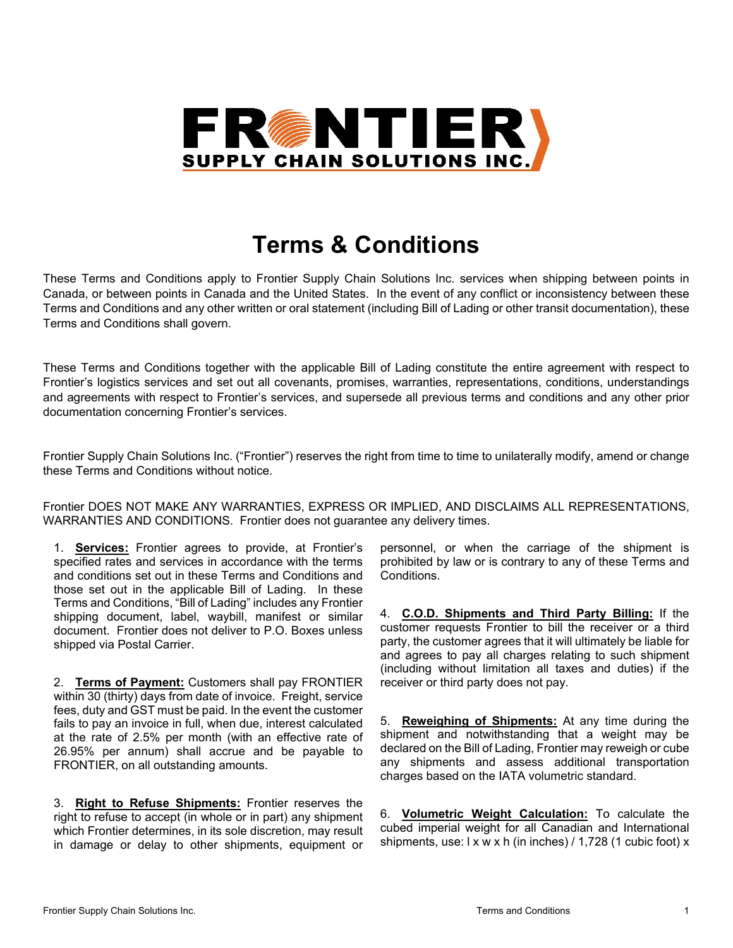

## **Terms & Conditions**

These Terms and Conditions apply to Frontier Supply Chain Solutions Inc. services when shipping between points in Canada, or between points in Canada and the United States. In the event of any conflict or inconsistency between these Terms and Conditions and any other written or oral statement (including Bill of Lading or other transit documentation), these Terms and Conditions shall govern.

These Terms and Conditions together with the applicable Bill of Lading constitute the entire agreement with respect to Frontier's logistics services and set out all covenants, promises, warranties, representations, conditions, understandings and agreements with respect to Frontier's services, and supersede all previous terms and conditions and any other prior documentation concerning Frontier's services.

Frontier Supply Chain Solutions Inc. ("Frontier") reserves the right from time to time to unilaterally modify, amend or change these Terms and Conditions without notice.

Frontier DOES NOT MAKE ANY WARRANTIES, EXPRESS OR IMPLIED, AND DISCLAIMS ALL REPRESENTATIONS, WARRANTIES AND CONDITIONS. Frontier does not guarantee any delivery times.

1. **Services:** Frontier agrees to provide, at Frontier's specified rates and services in accordance with the terms and conditions set out in these Terms and Conditions and those set out in the applicable Bill of Lading. In these Terms and Conditions, "Bill of Lading" includes any Frontier shipping document, label, waybill, manifest or similar document. Frontier does not deliver to P.O. Boxes unless shipped via Postal Carrier.

2. **Terms of Payment:** Customers shall pay FRONTIER within 30 (thirty) days from date of invoice. Freight, service fees, duty and GST must be paid. In the event the customer fails to pay an invoice in full, when due, interest calculated at the rate of 2.5% per month (with an effective rate of 26.95% per annum) shall accrue and be payable to FRONTIER, on all outstanding amounts.

3. **Right to Refuse Shipments:** Frontier reserves the right to refuse to accept (in whole or in part) any shipment which Frontier determines, in its sole discretion, may result in damage or delay to other shipments, equipment or

personnel, or when the carriage of the shipment is prohibited by law or is contrary to any of these Terms and Conditions.

4. **C.O.D. Shipments and Third Party Billing:** If the customer requests Frontier to bill the receiver or a third party, the customer agrees that it will ultimately be liable for and agrees to pay all charges relating to such shipment (including without limitation all taxes and duties) if the receiver or third party does not pay.

5. **Reweighing of Shipments:** At any time during the shipment and notwithstanding that a weight may be declared on the Bill of Lading, Frontier may reweigh or cube any shipments and assess additional transportation charges based on the IATA volumetric standard.

6. **Volumetric Weight Calculation:** To calculate the cubed imperial weight for all Canadian and International shipments, use: I x w x h (in inches) / 1,728 (1 cubic foot) x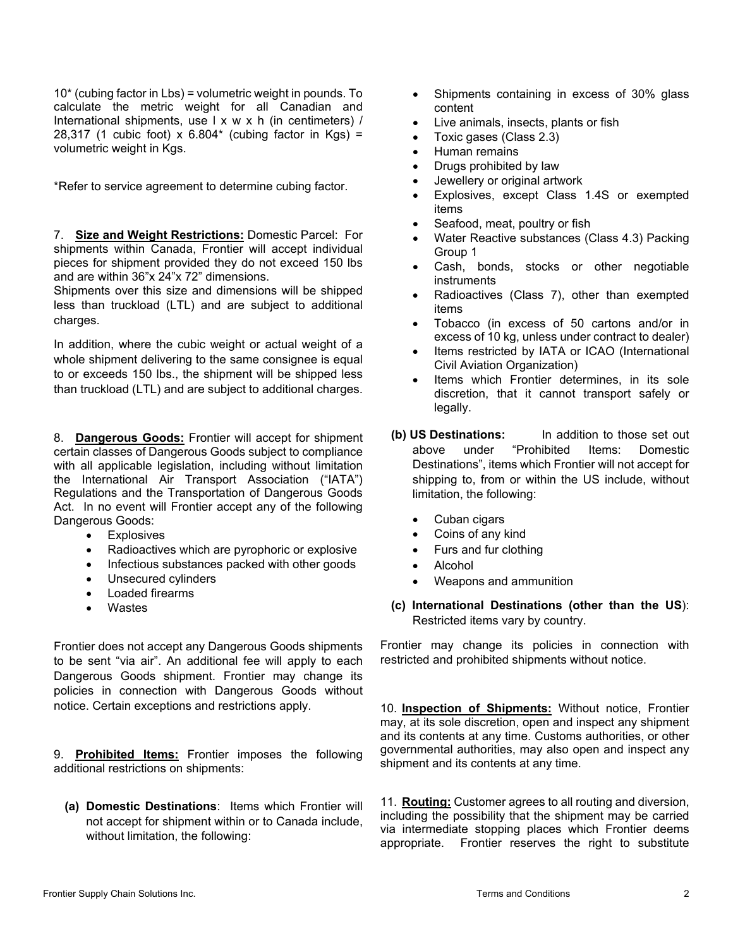10\* (cubing factor in Lbs) = volumetric weight in pounds. To calculate the metric weight for all Canadian and International shipments, use l x w x h (in centimeters) / 28,317 (1 cubic foot) x  $6.804*$  (cubing factor in Kgs) = volumetric weight in Kgs.

\*Refer to service agreement to determine cubing factor.

7. **Size and Weight Restrictions:** Domestic Parcel: For shipments within Canada, Frontier will accept individual pieces for shipment provided they do not exceed 150 lbs and are within 36"x 24"x 72" dimensions.

Shipments over this size and dimensions will be shipped less than truckload (LTL) and are subject to additional charges.

In addition, where the cubic weight or actual weight of a whole shipment delivering to the same consignee is equal to or exceeds 150 lbs., the shipment will be shipped less than truckload (LTL) and are subject to additional charges.

8. **Dangerous Goods:** Frontier will accept for shipment certain classes of Dangerous Goods subject to compliance with all applicable legislation, including without limitation the International Air Transport Association ("IATA") Regulations and the Transportation of Dangerous Goods Act. In no event will Frontier accept any of the following Dangerous Goods:

- Explosives
- Radioactives which are pyrophoric or explosive
- Infectious substances packed with other goods
- Unsecured cylinders
- Loaded firearms
- Wastes

Frontier does not accept any Dangerous Goods shipments to be sent "via air". An additional fee will apply to each Dangerous Goods shipment. Frontier may change its policies in connection with Dangerous Goods without notice. Certain exceptions and restrictions apply.

9. **Prohibited Items:** Frontier imposes the following additional restrictions on shipments:

**(a) Domestic Destinations**: Items which Frontier will not accept for shipment within or to Canada include, without limitation, the following:

- Shipments containing in excess of 30% glass content
- Live animals, insects, plants or fish
- Toxic gases (Class 2.3)
- Human remains
- Drugs prohibited by law
- Jewellery or original artwork
- Explosives, except Class 1.4S or exempted items
- Seafood, meat, poultry or fish
- Water Reactive substances (Class 4.3) Packing Group 1
- Cash, bonds, stocks or other negotiable instruments
- Radioactives (Class 7), other than exempted items
- Tobacco (in excess of 50 cartons and/or in excess of 10 kg, unless under contract to dealer)
- Items restricted by IATA or ICAO (International Civil Aviation Organization)
- Items which Frontier determines, in its sole discretion, that it cannot transport safely or legally.
- **(b) US Destinations:** In addition to those set out above under "Prohibited Items: Domestic Destinations", items which Frontier will not accept for shipping to, from or within the US include, without limitation, the following:
	- Cuban cigars
	- Coins of any kind
	- Furs and fur clothing
	- Alcohol
	- Weapons and ammunition
- **(c) International Destinations (other than the US**): Restricted items vary by country.

Frontier may change its policies in connection with restricted and prohibited shipments without notice.

10. **Inspection of Shipments:** Without notice, Frontier may, at its sole discretion, open and inspect any shipment and its contents at any time. Customs authorities, or other governmental authorities, may also open and inspect any shipment and its contents at any time.

11. **Routing:** Customer agrees to all routing and diversion, including the possibility that the shipment may be carried via intermediate stopping places which Frontier deems appropriate. Frontier reserves the right to substitute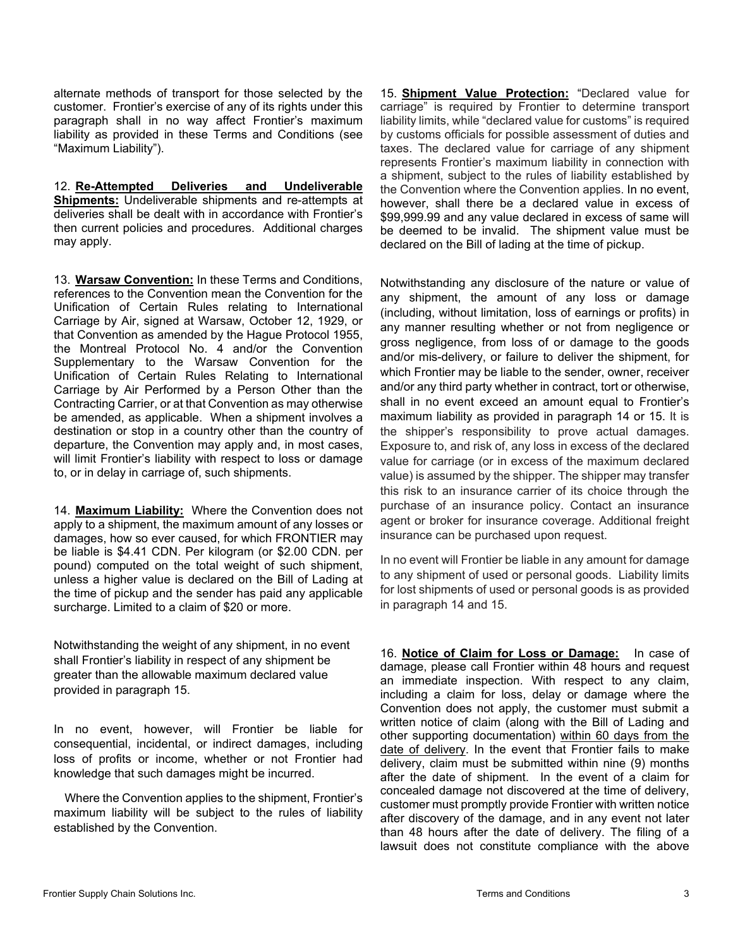alternate methods of transport for those selected by the customer. Frontier's exercise of any of its rights under this paragraph shall in no way affect Frontier's maximum liability as provided in these Terms and Conditions (see "Maximum Liability").

12. **Re-Attempted Deliveries and Undeliverable Shipments:** Undeliverable shipments and re-attempts at deliveries shall be dealt with in accordance with Frontier's then current policies and procedures. Additional charges may apply.

13. **Warsaw Convention:** In these Terms and Conditions, references to the Convention mean the Convention for the Unification of Certain Rules relating to International Carriage by Air, signed at Warsaw, October 12, 1929, or that Convention as amended by the Hague Protocol 1955, the Montreal Protocol No. 4 and/or the Convention Supplementary to the Warsaw Convention for the Unification of Certain Rules Relating to International Carriage by Air Performed by a Person Other than the Contracting Carrier, or at that Convention as may otherwise be amended, as applicable. When a shipment involves a destination or stop in a country other than the country of departure, the Convention may apply and, in most cases, will limit Frontier's liability with respect to loss or damage to, or in delay in carriage of, such shipments.

14. **Maximum Liability:** Where the Convention does not apply to a shipment, the maximum amount of any losses or damages, how so ever caused, for which FRONTIER may be liable is \$4.41 CDN. Per kilogram (or \$2.00 CDN. per pound) computed on the total weight of such shipment, unless a higher value is declared on the Bill of Lading at the time of pickup and the sender has paid any applicable surcharge. Limited to a claim of \$20 or more.

Notwithstanding the weight of any shipment, in no event shall Frontier's liability in respect of any shipment be greater than the allowable maximum declared value provided in paragraph 15.

In no event, however, will Frontier be liable for consequential, incidental, or indirect damages, including loss of profits or income, whether or not Frontier had knowledge that such damages might be incurred.

Where the Convention applies to the shipment, Frontier's maximum liability will be subject to the rules of liability established by the Convention.

15. **Shipment Value Protection:** "Declared value for carriage" is required by Frontier to determine transport liability limits, while "declared value for customs" is required by customs officials for possible assessment of duties and taxes. The declared value for carriage of any shipment represents Frontier's maximum liability in connection with a shipment, subject to the rules of liability established by the Convention where the Convention applies. In no event, however, shall there be a declared value in excess of \$99,999.99 and any value declared in excess of same will be deemed to be invalid. The shipment value must be declared on the Bill of lading at the time of pickup.

Notwithstanding any disclosure of the nature or value of any shipment, the amount of any loss or damage (including, without limitation, loss of earnings or profits) in any manner resulting whether or not from negligence or gross negligence, from loss of or damage to the goods and/or mis-delivery, or failure to deliver the shipment, for which Frontier may be liable to the sender, owner, receiver and/or any third party whether in contract, tort or otherwise, shall in no event exceed an amount equal to Frontier's maximum liability as provided in paragraph 14 or 15. It is the shipper's responsibility to prove actual damages. Exposure to, and risk of, any loss in excess of the declared value for carriage (or in excess of the maximum declared value) is assumed by the shipper. The shipper may transfer this risk to an insurance carrier of its choice through the purchase of an insurance policy. Contact an insurance agent or broker for insurance coverage. Additional freight insurance can be purchased upon request.

In no event will Frontier be liable in any amount for damage to any shipment of used or personal goods. Liability limits for lost shipments of used or personal goods is as provided in paragraph 14 and 15.

16. **Notice of Claim for Loss or Damage:** In case of damage, please call Frontier within 48 hours and request an immediate inspection. With respect to any claim, including a claim for loss, delay or damage where the Convention does not apply, the customer must submit a written notice of claim (along with the Bill of Lading and other supporting documentation) within 60 days from the date of delivery. In the event that Frontier fails to make delivery, claim must be submitted within nine (9) months after the date of shipment. In the event of a claim for concealed damage not discovered at the time of delivery, customer must promptly provide Frontier with written notice after discovery of the damage, and in any event not later than 48 hours after the date of delivery. The filing of a lawsuit does not constitute compliance with the above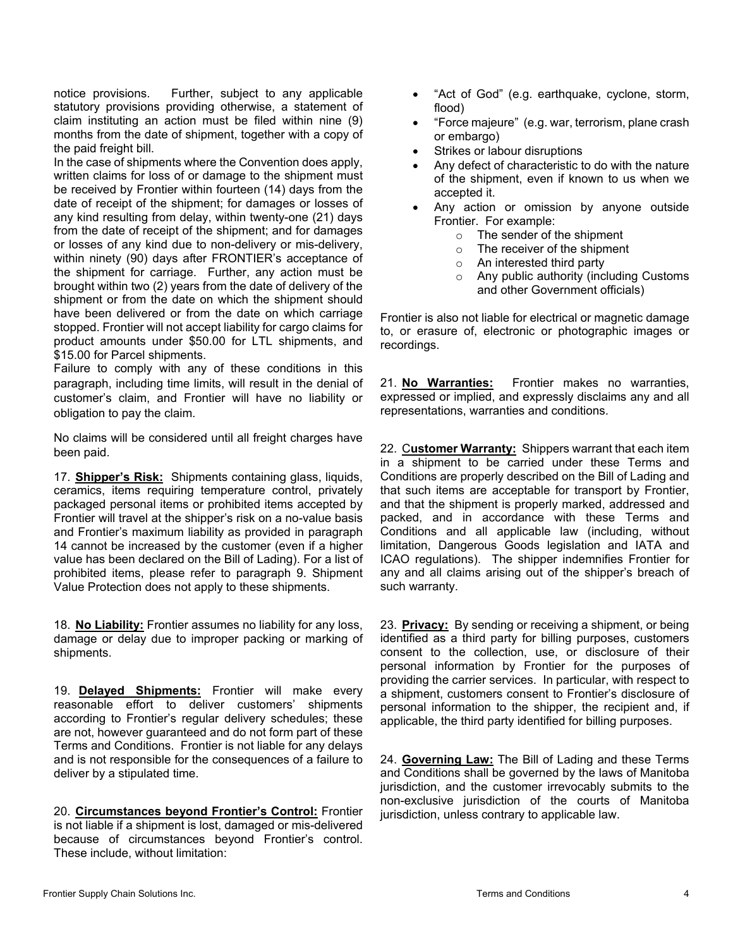notice provisions. Further, subject to any applicable statutory provisions providing otherwise, a statement of claim instituting an action must be filed within nine (9) months from the date of shipment, together with a copy of the paid freight bill.

In the case of shipments where the Convention does apply, written claims for loss of or damage to the shipment must be received by Frontier within fourteen (14) days from the date of receipt of the shipment; for damages or losses of any kind resulting from delay, within twenty-one (21) days from the date of receipt of the shipment; and for damages or losses of any kind due to non-delivery or mis-delivery, within ninety (90) days after FRONTIER's acceptance of the shipment for carriage. Further, any action must be brought within two (2) years from the date of delivery of the shipment or from the date on which the shipment should have been delivered or from the date on which carriage stopped. Frontier will not accept liability for cargo claims for product amounts under \$50.00 for LTL shipments, and \$15.00 for Parcel shipments.

Failure to comply with any of these conditions in this paragraph, including time limits, will result in the denial of customer's claim, and Frontier will have no liability or obligation to pay the claim.

No claims will be considered until all freight charges have been paid.

17. **Shipper's Risk:** Shipments containing glass, liquids, ceramics, items requiring temperature control, privately packaged personal items or prohibited items accepted by Frontier will travel at the shipper's risk on a no-value basis and Frontier's maximum liability as provided in paragraph 14 cannot be increased by the customer (even if a higher value has been declared on the Bill of Lading). For a list of prohibited items, please refer to paragraph 9. Shipment Value Protection does not apply to these shipments.

18. **No Liability:** Frontier assumes no liability for any loss, damage or delay due to improper packing or marking of shipments.

19. **Delayed Shipments:** Frontier will make every reasonable effort to deliver customers' shipments according to Frontier's regular delivery schedules; these are not, however guaranteed and do not form part of these Terms and Conditions. Frontier is not liable for any delays and is not responsible for the consequences of a failure to deliver by a stipulated time.

20. **Circumstances beyond Frontier's Control:** Frontier is not liable if a shipment is lost, damaged or mis-delivered because of circumstances beyond Frontier's control. These include, without limitation:

- "Act of God" (e.g. earthquake, cyclone, storm, flood)
- "Force majeure" (e.g. war, terrorism, plane crash or embargo)
- Strikes or labour disruptions
- Any defect of characteristic to do with the nature of the shipment, even if known to us when we accepted it.
- Any action or omission by anyone outside Frontier. For example:
	- o The sender of the shipment
	- o The receiver of the shipment
	- o An interested third party
	- o Any public authority (including Customs and other Government officials)

Frontier is also not liable for electrical or magnetic damage to, or erasure of, electronic or photographic images or recordings.

21. **No Warranties:** Frontier makes no warranties, expressed or implied, and expressly disclaims any and all representations, warranties and conditions.

22. C**ustomer Warranty:** Shippers warrant that each item in a shipment to be carried under these Terms and Conditions are properly described on the Bill of Lading and that such items are acceptable for transport by Frontier, and that the shipment is properly marked, addressed and packed, and in accordance with these Terms and Conditions and all applicable law (including, without limitation, Dangerous Goods legislation and IATA and ICAO regulations). The shipper indemnifies Frontier for any and all claims arising out of the shipper's breach of such warranty.

23. **Privacy:** By sending or receiving a shipment, or being identified as a third party for billing purposes, customers consent to the collection, use, or disclosure of their personal information by Frontier for the purposes of providing the carrier services. In particular, with respect to a shipment, customers consent to Frontier's disclosure of personal information to the shipper, the recipient and, if applicable, the third party identified for billing purposes.

24. **Governing Law:** The Bill of Lading and these Terms and Conditions shall be governed by the laws of Manitoba jurisdiction, and the customer irrevocably submits to the non-exclusive jurisdiction of the courts of Manitoba jurisdiction, unless contrary to applicable law.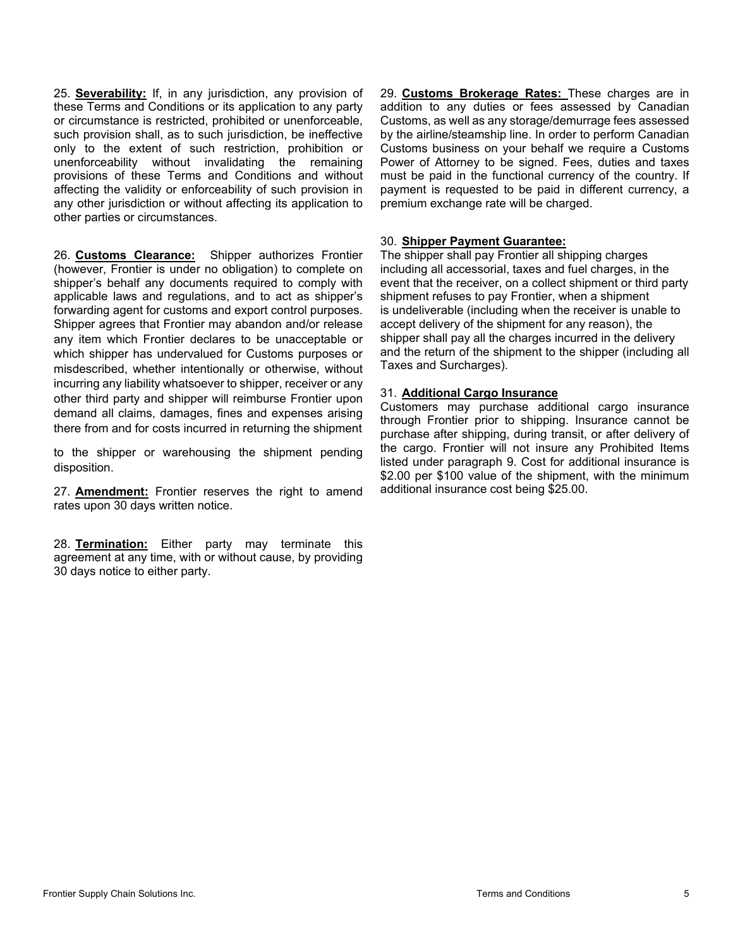25. **Severability:** If, in any jurisdiction, any provision of these Terms and Conditions or its application to any party or circumstance is restricted, prohibited or unenforceable, such provision shall, as to such jurisdiction, be ineffective only to the extent of such restriction, prohibition or unenforceability without invalidating the remaining provisions of these Terms and Conditions and without affecting the validity or enforceability of such provision in any other jurisdiction or without affecting its application to other parties or circumstances.

26. **Customs Clearance:** Shipper authorizes Frontier (however, Frontier is under no obligation) to complete on shipper's behalf any documents required to comply with applicable laws and regulations, and to act as shipper's forwarding agent for customs and export control purposes. Shipper agrees that Frontier may abandon and/or release any item which Frontier declares to be unacceptable or which shipper has undervalued for Customs purposes or misdescribed, whether intentionally or otherwise, without incurring any liability whatsoever to shipper, receiver or any other third party and shipper will reimburse Frontier upon demand all claims, damages, fines and expenses arising there from and for costs incurred in returning the shipment

to the shipper or warehousing the shipment pending disposition.

27. **Amendment:** Frontier reserves the right to amend rates upon 30 days written notice.

28. **Termination:** Either party may terminate this agreement at any time, with or without cause, by providing 30 days notice to either party.

29. **Customs Brokerage Rates:** These charges are in addition to any duties or fees assessed by Canadian Customs, as well as any storage/demurrage fees assessed by the airline/steamship line. In order to perform Canadian Customs business on your behalf we require a Customs Power of Attorney to be signed. Fees, duties and taxes must be paid in the functional currency of the country. If payment is requested to be paid in different currency, a premium exchange rate will be charged.

## 30. **Shipper Payment Guarantee:**

The shipper shall pay Frontier all shipping charges including all accessorial, taxes and fuel charges, in the event that the receiver, on a collect shipment or third party shipment refuses to pay Frontier, when a shipment is undeliverable (including when the receiver is unable to accept delivery of the shipment for any reason), the shipper shall pay all the charges incurred in the delivery and the return of the shipment to the shipper (including all Taxes and Surcharges).

## 31. **Additional Cargo Insurance**

Customers may purchase additional cargo insurance through Frontier prior to shipping. Insurance cannot be purchase after shipping, during transit, or after delivery of the cargo. Frontier will not insure any Prohibited Items listed under paragraph 9. Cost for additional insurance is \$2.00 per \$100 value of the shipment, with the minimum additional insurance cost being \$25.00.